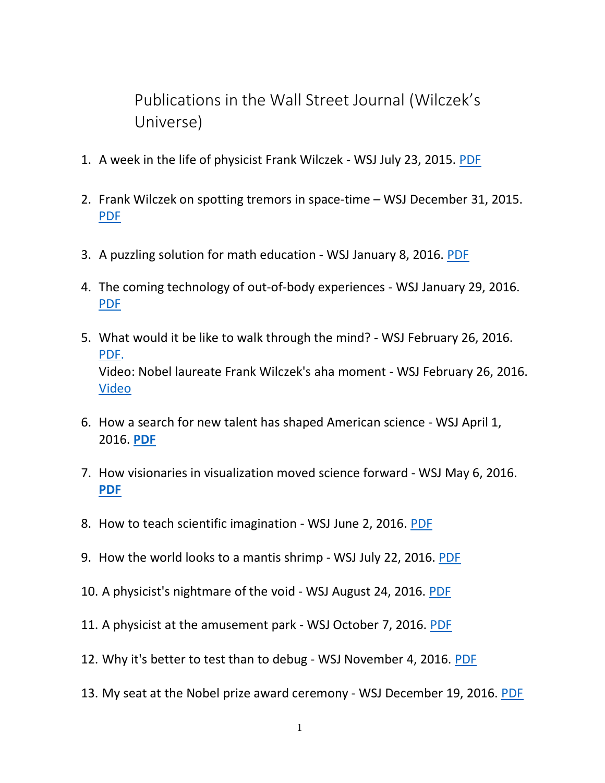Publications in the Wall Street Journal (Wilczek's Universe)

- 1. A week in the life of physicist Frank Wilczek WSJ July 23, 2015. [PDF](https://drive.google.com/file/d/1XV8dqPPe9o9V7_CinyAApl4zAJb7x964/view?usp=sharing)
- 2. Frank Wilczek on spotting tremors in space-time WSJ December 31, 2015. [PDF](https://drive.google.com/file/d/1Ah8FWMlgSVHeQmIpQtxpblxC77CY0yoo/view?usp=sharing)
- 3. A puzzling solution for math education WSJ January 8, 2016. [PDF](https://drive.google.com/file/d/1gBrzkI6x6joHTMwv-FIXvAbmaHHesUWH/view?usp=sharing)
- 4. The coming technology of out-of-body experiences WSJ January 29, 2016. [PDF](https://drive.google.com/file/d/1C9PI_RAAnI54q-GO0lJAn5oP_l8lfInb/view?usp=sharing)
- 5. What would it be like to walk through the mind? WSJ February 26, 2016. [PDF.](https://drive.google.com/file/d/17G9-2wlzukE4TOe8x3gC7d88pXoXbam5/view?usp=sharing) Video: Nobel laureate Frank Wilczek's aha moment - WSJ February 26, 2016. [Video](/Users/Anne/Dropbox%20(ASU)/022516wilczek2_v2_ec2564k.mp4)
- 6. How a search for new talent has shaped American science WSJ April 1, 2016. **[PDF](https://drive.google.com/file/d/1sz8TYeGc9GA45vl38mJihdxNJX9D2iUK/view?usp=sharing)**
- 7. How visionaries in visualization moved science forward WSJ May 6, 2016. **[PDF](https://drive.google.com/file/d/1vpxgYihv9LsKaGO7m5cf7wEvoJs8eKyT/view?usp=sharing)**
- 8. How to teach scientific imagination WSJ June 2, 2016. [PDF](https://drive.google.com/file/d/1kYKUWA1SIuBECXwfTG9CfDaTRcoJ4n4r/view?usp=sharing)
- 9. How the world looks to a mantis shrimp WSJ July 22, 2016. [PDF](https://drive.google.com/file/d/14nljDFtn-GZbzK21amcrLKpUWwzVdwxZ/view?usp=sharing)
- 10. A physicist's nightmare of the void WSJ August 24, 2016. [PDF](https://drive.google.com/file/d/1VnCZxSv2jJDYt9BG6nz7bVMUQf4yxWya/view?usp=sharing)
- 11. A physicist at the amusement park WSJ October 7, 2016. [PDF](https://drive.google.com/file/d/1VCVKFWHnL-bfqjSO_57gcZxh-d0o8rT2/view?usp=sharing)
- 12. Why it's better to test than to debug WSJ November 4, 2016. [PDF](https://drive.google.com/file/d/1sktc0YdcdDd_h_hAWPqvmo14i-6-jyHv/view?usp=sharing)
- 13. My seat at the Nobel prize award ceremony WSJ December 19, 2016. [PDF](https://drive.google.com/file/d/1PCHuB5mjqMgbvrbQS3uKMlCNZVYsj44i/view?usp=sharing)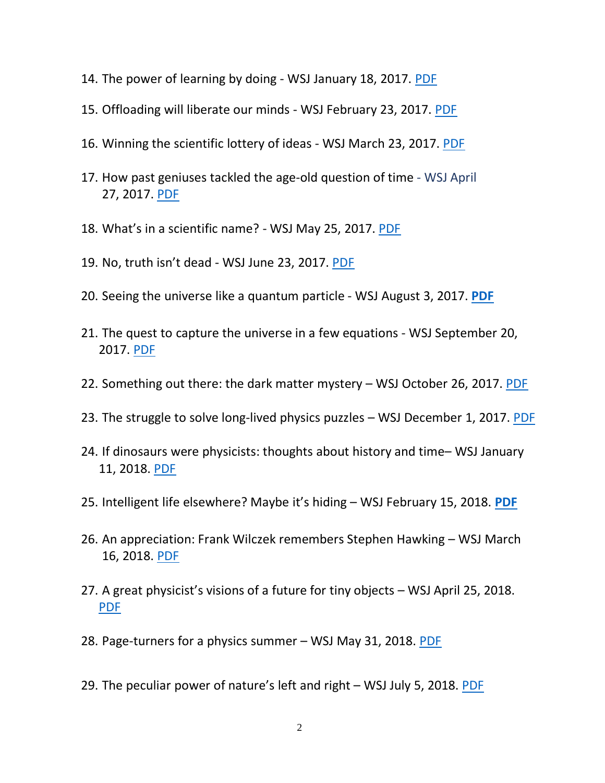- 14. The power of learning by doing WSJ January 18, 2017. [PDF](https://drive.google.com/file/d/1AcPsTkhfC2qFn5AXuyUF2J-dQ-Errc0d/view?usp=sharing)
- 15. Offloading will liberate our minds WSJ February 23, 2017. [PDF](https://drive.google.com/file/d/1Tl4i8QPpXcbqOh4fhTs7YyAFVOTniiQN/view?usp=sharing)
- 16. Winning the scientific lottery of ideas WSJ March 23, 2017. [PDF](https://drive.google.com/file/d/1ZVczPFAT16TFR5fcFz6TbLbetu3CIqpM/view?usp=sharing)
- 17. How past geniuses tackled the age-old question of time WSJ April 27, 2017. [PDF](https://drive.google.com/file/d/1clkd7vTzktHdNCzC7IBYixrkXKNYnIw5/view?usp=sharing)
- 18. What's in a scientific name? WSJ May 25, 2017. [PDF](https://drive.google.com/file/d/1pJm2tm8GIVWsegm0vn9z2Cm0M4muYnYK/view?usp=sharing)
- 19. No, truth isn't dead WSJ June 23, 2017. [PDF](https://drive.google.com/file/d/13tezT8JYZrWE5Tw-kKIts06F3tsbfqwd/view?usp=sharing)
- 20. Seeing the universe like a quantum particle WSJ August 3, 2017. **[PDF](https://drive.google.com/file/d/1qC3-5rJot2eB1j7x19tZDefqhE7JE_T_/view?usp=sharing)**
- 21. The quest to capture the universe in a few equations WSJ September 20, 2017. [PDF](https://drive.google.com/file/d/1bvMTT6sX9J1nWWhNK_87xzC6_l0lP7rp/view?usp=sharing)
- 22. Something out there: the dark matter mystery WSJ October 26, 2017. [PDF](https://drive.google.com/file/d/1IoPL8IgPwKK-gepnqEd7PrlqEScvA0ft/view?usp=sharing)
- 23. The struggle to solve long-lived physics puzzles WSJ December 1, 2017. [PDF](https://drive.google.com/file/d/1O1yDD_sx0GERIj5lD9HhZ1VnHS2rMtj0/view?usp=sharing)
- 24. If dinosaurs were physicists: thoughts about history and time– WSJ January 11, 2018. [PDF](https://drive.google.com/file/d/1qOuaV_IrMuZ7Ys8vgDnyqJChkE8hVcDW/view?usp=sharing)
- 25. Intelligent life elsewhere? Maybe it's hiding WSJ February 15, 2018. **[PDF](https://drive.google.com/file/d/1Hv7JcLh_IPFBJ3J7_vgvnalgEUzzn60R/view?usp=sharing)**
- 26. An appreciation: Frank Wilczek remembers Stephen Hawking WSJ March 16, 2018. [PDF](https://drive.google.com/file/d/1QMqw1nzOsh10GS5EVF8x2MzoU-erC4xd/view?usp=sharing)
- 27. A great physicist's visions of a future for tiny objects WSJ April 25, 2018. [PDF](https://drive.google.com/file/d/1H-Pl8kzU5h3WMyd9ZzSG_ywGZUXYZFqS/view?usp=sharing)
- 28. Page-turners for a physics summer WSJ May 31, 2018. [PDF](https://drive.google.com/file/d/1j0k86STWDP01zDrUCi7Ijdl03UELmyYA/view?usp=sharing)
- 29. The peculiar power of nature's left and right WSJ July 5, 2018. [PDF](https://drive.google.com/file/d/1GNF7kt-BAhbmF3Clp7bvfYXKLa2xfKkN/view?usp=sharing)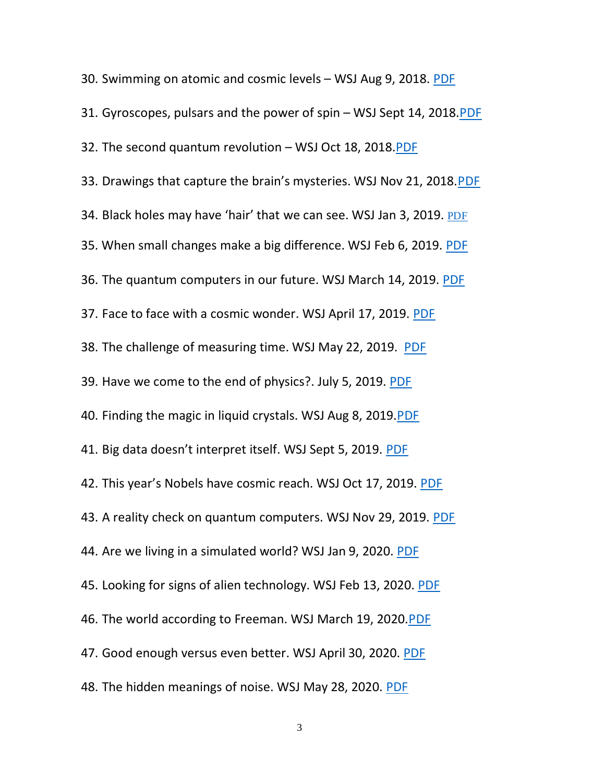30. Swimming on atomic and cosmic levels – WSJ Aug 9, 2018. [PDF](https://drive.google.com/file/d/1A3YTBet9sodBJL-gQXz5eQQ51dhGdRM4/view?usp=sharing) 31. Gyroscopes, pulsars and the power of spin – WSJ Sept 14, 2018[.PDF](https://drive.google.com/open?id=1wUsUCnBngAKk7eqdyIUgFHhzPE4TJ4k3) 32. The second quantum revolution – WSJ Oct 18, 2018[.PDF](https://drive.google.com/file/d/1tra6Wt0t0vdB1kpitxPxmV7Q7VEZJr6K/view?usp=sharing) 33. Drawings that capture the brain's mysteries. WSJ Nov 21, 2018.[PDF](https://drive.google.com/open?id=1gAripFSmg4sRCxg1VXpZtbHfaVE-egJa) 34. Black holes may have 'hair' that we can see. WSJ Jan 3, 2019. [PDF](https://drive.google.com/file/d/1VKNYLX6sDJSWVW3s_se16iRcpozWSV9e/view?usp=sharing) 35. When small changes make a big difference. WSJ Feb 6, 2019. [PDF](https://www.wsj.com/articles/when-small-changes-make-a-big-difference-11549469927?mod=searchresults&page=1&pos=2) 36. The quantum computers in our future. WSJ March 14, 2019. [PDF](https://drive.google.com/file/d/1AhjjsX-KDeysVUNrQT40U1pY-OvyH8L4/view?usp=sharing) 37. Face to face with a cosmic wonder. WSJ April 17, 2019. [PDF](https://drive.google.com/file/d/1hhdBFNdpoNjOlKFQH69GMXKkkk-0iwg8/view?usp=sharing) 38. The challenge of measuring time. WSJ May 22, 2019. [PDF](https://drive.google.com/file/d/1Zad8DBUIbh4oJ1DwHgNA31RUO9bN8FF9/view?usp=sharing) 39. Have we come to the end of physics?. July 5, 2019. [PDF](https://drive.google.com/file/d/1WEVNl-_eZ9ca6XbumfpZUh3wNMEX0GYZ/view?usp=sharing) 40. Finding the magic in liquid crystals. WSJ Aug 8, 2019[.PDF](https://drive.google.com/file/d/1rU0NWFdoUMYp5YTC1n5XeCwTVC4AItZz/view?usp=sharing) 41. Big data doesn't interpret itself. WSJ Sept 5, 2019. [PDF](https://drive.google.com/file/d/1xgg0aQ_FrJSheOvZtAdyP8l6mjePxyqj/view?usp=sharing) 42. This year's Nobels have cosmic reach. WSJ Oct 17, 2019. [PDF](https://drive.google.com/file/d/1UrHJdr3xntIubI7Q4vdQb4v0WRTXYttM/view?usp=sharing) 43. A reality check on quantum computers. WSJ Nov 29, 2019. [PDF](https://drive.google.com/file/d/1Iuo4cv5Twg-Udc9aLi7SFpU3Kl8we-v0/view?usp=sharing) 44. Are we living in a simulated world? WSJ Jan 9, 2020. [PDF](https://drive.google.com/file/d/1W-ihO6VygpMcDTd7Sv87Wnv2a0VGpJnm/view?usp=sharing) 45. Looking for signs of alien technology. WSJ Feb 13, 2020. [PDF](https://drive.google.com/file/d/1Vijj4UWk8pTgFUfZd86-PPaGdBYUS2AK/view?usp=sharing) 46. The world according to Freeman. WSJ March 19, 2020[.PDF](https://drive.google.com/file/d/1Ju0MJZK9qvGApHNVeau1Ap74PkLrsuDZ/view?usp=sharing) 47. Good enough versus even better. WSJ April 30, 2020. [PDF](https://drive.google.com/file/d/1irbtc72i28OfB-dJW75d-leBxyGfyWy1/view?usp=sharing) 48. The hidden meanings of noise. WSJ May 28, 2020. [PDF](https://drive.google.com/file/d/1c0WqMiv3W_kPpOA0wGVT29ERwfEeUPJu/view?usp=sharing)

3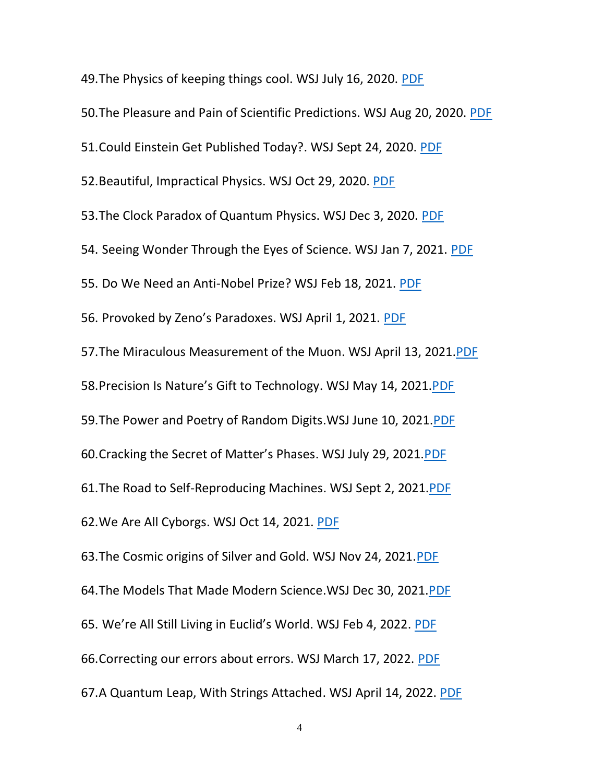49.The Physics of keeping things cool. WSJ July 16, 2020. [PDF](https://drive.google.com/file/d/1JqvuxPYUXPRv3WpJgF7xhimBoU4t64Fp/view?usp=sharing) 50.The Pleasure and Pain of Scientific Predictions. WSJ Aug 20, 2020. [PDF](https://drive.google.com/file/d/1fQlaWp81adEzeqvsV8wwuvGsXwyxS9_0/view?usp=sharing) 51.Could Einstein Get Published Today?. WSJ Sept 24, 2020. [PDF](https://drive.google.com/file/d/1X9rGzIe0kBQSvNyk9_PNHHvwgisr3NVU/view?usp=sharing) 52.Beautiful, Impractical Physics. WSJ Oct 29, 2020. [PDF](https://drive.google.com/file/d/1ga-ylZ9RITqMGIe5ZV2ht9cTw3gxIGR3/view?usp=sharing) 53.The Clock Paradox of Quantum Physics. WSJ Dec 3, 2020. [PDF](https://drive.google.com/file/d/1l-X-PyRLoZQ7VdXzQSGVGfrQ3plRI560/view?usp=sharing) 54. Seeing Wonder Through the Eyes of Science. WSJ Jan 7, 2021. [PDF](https://drive.google.com/file/d/10E0A_33mm5llXrUC478bmva5BLTIwuIB/view?usp=sharing) 55. Do We Need an Anti-Nobel Prize? WSJ Feb 18, 2021. [PDF](https://drive.google.com/file/d/1ig3Iy0ryvu29siePEOJSotMXFF5i5Q6H/view?usp=sharing) 56. Provoked by Zeno's Paradoxes. WSJ April 1, 2021. [PDF](https://drive.google.com/file/d/1bD_Jz1qGcIOQshfLFkEOLb_I5Rr3SIrD/view?usp=sharing) 57.The Miraculous Measurement of the Muon. WSJ April 13, 2021[.PDF](https://drive.google.com/file/d/1f5rMiRpzZ_XE1tBUND3E__XZ3iaWfnZd/view?usp=sharing) 58.[Precision Is Nature's Gift to Technology](https://www.wsj.com/articles/precision-is-natures-gift-to-technology-11621018183). WSJ May 14, 2021[.PDF](https://drive.google.com/file/d/1IvSX9RAy8vQhBXNroz7vO8fbjB5X05Fm/view?usp=sharing) 59.The Power and Poetry of Random Digits.WSJ June 10, 2021[.PDF](https://drive.google.com/file/d/1uLTEasjmNEgLlw2gI6bKlYIo0PMUrKc9/view?usp=sharing) 60.Cracking the Secret of Matter's Phases. WSJ July 29, 2021[.PDF](https://drive.google.com/file/d/1m3EBwO8qM1dEhhoX5A7mFHkqI6PY6cNQ/view?usp=sharing) 61.The Road to Self-Reproducing Machines. WSJ Sept 2, 2021[.PDF](https://drive.google.com/file/d/1wDuKWy3Hq56odE35Dgr27FjnUog0AoNH/view?usp=sharing) 62.We Are All Cyborgs. WSJ Oct 14, 2021. [PDF](https://drive.google.com/file/d/1t7gOjTRHsROqNQbViXH90avI9E0KTj2B/view?usp=sharing) 63.The Cosmic origins of Silver and Gold. WSJ Nov 24, 2021[.PDF](https://drive.google.com/file/d/1bsfvpyFBaxiSuY-k147UJ6Rs12VhttTv/view?usp=sharing) 64.The Models That Made Modern Science.WSJ Dec 30, 2021[.PDF](https://drive.google.com/file/d/1ZuiE1zspuuDMVRHR2fAkR8R08pxrmnb9/view?usp=sharing) 65. We're All Still Living in Euclid's World. WSJ Feb 4, 2022. [PDF](https://drive.google.com/file/d/1btaYLA8iuHKc942QGizyVUNVyCXNd1d3/view?usp=sharing) 66.Correcting our errors about errors. WSJ March 17, 2022. [PDF](https://drive.google.com/file/d/1FZRK6JN5WaqtaFa547rNCpGHJTNjjREM/view?usp=sharing) 67.A Quantum Leap, With Strings Attached. WSJ April 14, 2022. [PDF](https://drive.google.com/file/d/1-jYZLayKB6ifxpYjl1p92s0q_LLOiCuD/view?usp=sharing)